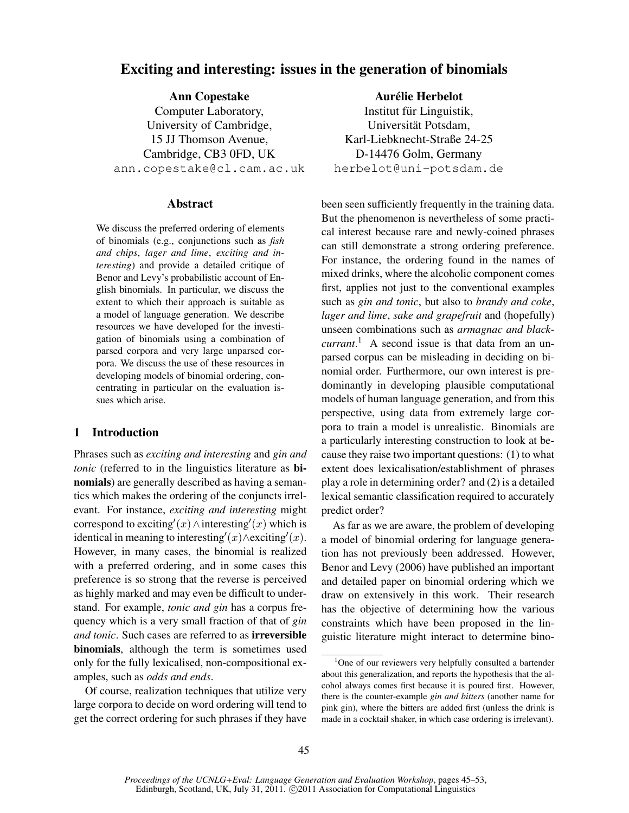# Exciting and interesting: issues in the generation of binomials

Ann Copestake Computer Laboratory, University of Cambridge, 15 JJ Thomson Avenue, Cambridge, CB3 0FD, UK ann.copestake@cl.cam.ac.uk

# Abstract

We discuss the preferred ordering of elements of binomials (e.g., conjunctions such as *fish and chips*, *lager and lime*, *exciting and interesting*) and provide a detailed critique of Benor and Levy's probabilistic account of English binomials. In particular, we discuss the extent to which their approach is suitable as a model of language generation. We describe resources we have developed for the investigation of binomials using a combination of parsed corpora and very large unparsed corpora. We discuss the use of these resources in developing models of binomial ordering, concentrating in particular on the evaluation issues which arise.

# 1 Introduction

Phrases such as *exciting and interesting* and *gin and tonic* (referred to in the linguistics literature as **bi**nomials) are generally described as having a semantics which makes the ordering of the conjuncts irrelevant. For instance, *exciting and interesting* might correspond to exciting'(x)  $\land$  interesting'(x) which is identical in meaning to interesting'(x)∧exciting'(x). However, in many cases, the binomial is realized with a preferred ordering, and in some cases this preference is so strong that the reverse is perceived as highly marked and may even be difficult to understand. For example, *tonic and gin* has a corpus frequency which is a very small fraction of that of *gin and tonic*. Such cases are referred to as irreversible binomials, although the term is sometimes used only for the fully lexicalised, non-compositional examples, such as *odds and ends*.

Of course, realization techniques that utilize very large corpora to decide on word ordering will tend to get the correct ordering for such phrases if they have

Aurélie Herbelot Institut für Linguistik, Universität Potsdam. Karl-Liebknecht-Straße 24-25 D-14476 Golm, Germany herbelot@uni-potsdam.de

been seen sufficiently frequently in the training data. But the phenomenon is nevertheless of some practical interest because rare and newly-coined phrases can still demonstrate a strong ordering preference. For instance, the ordering found in the names of mixed drinks, where the alcoholic component comes first, applies not just to the conventional examples such as *gin and tonic*, but also to *brandy and coke*, *lager and lime*, *sake and grapefruit* and (hopefully) unseen combinations such as *armagnac and blackcurrant*. <sup>1</sup> A second issue is that data from an unparsed corpus can be misleading in deciding on binomial order. Furthermore, our own interest is predominantly in developing plausible computational models of human language generation, and from this perspective, using data from extremely large corpora to train a model is unrealistic. Binomials are a particularly interesting construction to look at because they raise two important questions: (1) to what extent does lexicalisation/establishment of phrases play a role in determining order? and (2) is a detailed lexical semantic classification required to accurately predict order?

As far as we are aware, the problem of developing a model of binomial ordering for language generation has not previously been addressed. However, Benor and Levy (2006) have published an important and detailed paper on binomial ordering which we draw on extensively in this work. Their research has the objective of determining how the various constraints which have been proposed in the linguistic literature might interact to determine bino-

<sup>&</sup>lt;sup>1</sup>One of our reviewers very helpfully consulted a bartender about this generalization, and reports the hypothesis that the alcohol always comes first because it is poured first. However, there is the counter-example *gin and bitters* (another name for pink gin), where the bitters are added first (unless the drink is made in a cocktail shaker, in which case ordering is irrelevant).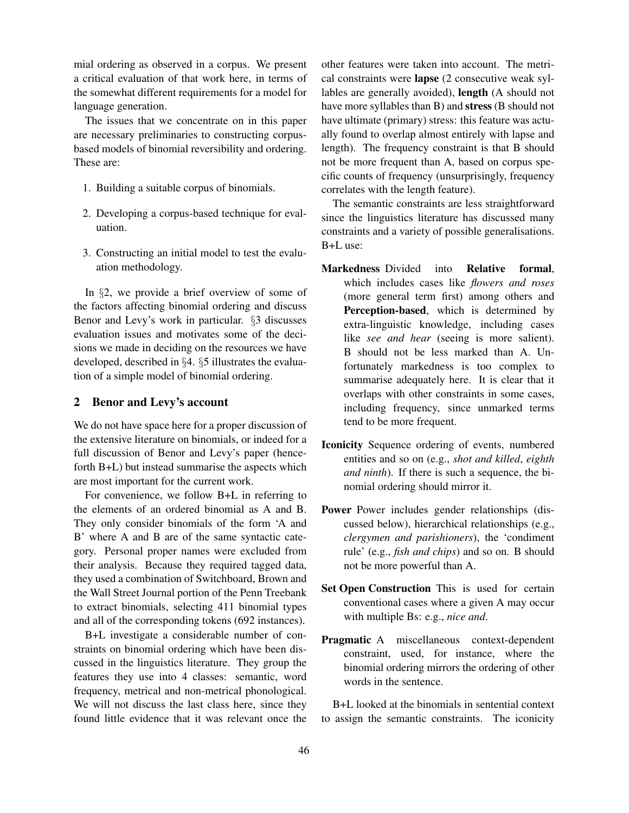mial ordering as observed in a corpus. We present a critical evaluation of that work here, in terms of the somewhat different requirements for a model for language generation.

The issues that we concentrate on in this paper are necessary preliminaries to constructing corpusbased models of binomial reversibility and ordering. These are:

- 1. Building a suitable corpus of binomials.
- 2. Developing a corpus-based technique for evaluation.
- 3. Constructing an initial model to test the evaluation methodology.

In §2, we provide a brief overview of some of the factors affecting binomial ordering and discuss Benor and Levy's work in particular. §3 discusses evaluation issues and motivates some of the decisions we made in deciding on the resources we have developed, described in §4. §5 illustrates the evaluation of a simple model of binomial ordering.

# 2 Benor and Levy's account

We do not have space here for a proper discussion of the extensive literature on binomials, or indeed for a full discussion of Benor and Levy's paper (henceforth B+L) but instead summarise the aspects which are most important for the current work.

For convenience, we follow B+L in referring to the elements of an ordered binomial as A and B. They only consider binomials of the form 'A and B' where A and B are of the same syntactic category. Personal proper names were excluded from their analysis. Because they required tagged data, they used a combination of Switchboard, Brown and the Wall Street Journal portion of the Penn Treebank to extract binomials, selecting 411 binomial types and all of the corresponding tokens (692 instances).

B+L investigate a considerable number of constraints on binomial ordering which have been discussed in the linguistics literature. They group the features they use into 4 classes: semantic, word frequency, metrical and non-metrical phonological. We will not discuss the last class here, since they found little evidence that it was relevant once the other features were taken into account. The metrical constraints were lapse (2 consecutive weak syllables are generally avoided), length (A should not have more syllables than B) and stress (B should not have ultimate (primary) stress: this feature was actually found to overlap almost entirely with lapse and length). The frequency constraint is that B should not be more frequent than A, based on corpus specific counts of frequency (unsurprisingly, frequency correlates with the length feature).

The semantic constraints are less straightforward since the linguistics literature has discussed many constraints and a variety of possible generalisations. B+L use:

- Markedness Divided into Relative formal, which includes cases like *flowers and roses* (more general term first) among others and Perception-based, which is determined by extra-linguistic knowledge, including cases like *see and hear* (seeing is more salient). B should not be less marked than A. Unfortunately markedness is too complex to summarise adequately here. It is clear that it overlaps with other constraints in some cases, including frequency, since unmarked terms tend to be more frequent.
- Iconicity Sequence ordering of events, numbered entities and so on (e.g., *shot and killed*, *eighth and ninth*). If there is such a sequence, the binomial ordering should mirror it.
- Power Power includes gender relationships (discussed below), hierarchical relationships (e.g., *clergymen and parishioners*), the 'condiment rule' (e.g., *fish and chips*) and so on. B should not be more powerful than A.
- Set Open Construction This is used for certain conventional cases where a given A may occur with multiple Bs: e.g., *nice and*.
- Pragmatic A miscellaneous context-dependent constraint, used, for instance, where the binomial ordering mirrors the ordering of other words in the sentence.

B+L looked at the binomials in sentential context to assign the semantic constraints. The iconicity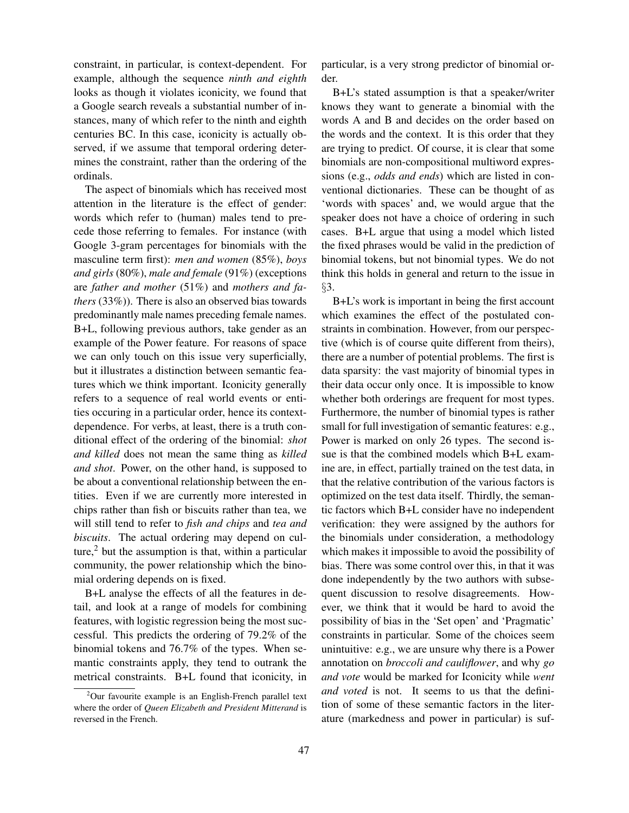constraint, in particular, is context-dependent. For example, although the sequence *ninth and eighth* looks as though it violates iconicity, we found that a Google search reveals a substantial number of instances, many of which refer to the ninth and eighth centuries BC. In this case, iconicity is actually observed, if we assume that temporal ordering determines the constraint, rather than the ordering of the ordinals.

The aspect of binomials which has received most attention in the literature is the effect of gender: words which refer to (human) males tend to precede those referring to females. For instance (with Google 3-gram percentages for binomials with the masculine term first): *men and women* (85%), *boys and girls* (80%), *male and female* (91%) (exceptions are *father and mother* (51%) and *mothers and fathers* (33%)). There is also an observed bias towards predominantly male names preceding female names. B+L, following previous authors, take gender as an example of the Power feature. For reasons of space we can only touch on this issue very superficially, but it illustrates a distinction between semantic features which we think important. Iconicity generally refers to a sequence of real world events or entities occuring in a particular order, hence its contextdependence. For verbs, at least, there is a truth conditional effect of the ordering of the binomial: *shot and killed* does not mean the same thing as *killed and shot*. Power, on the other hand, is supposed to be about a conventional relationship between the entities. Even if we are currently more interested in chips rather than fish or biscuits rather than tea, we will still tend to refer to *fish and chips* and *tea and biscuits*. The actual ordering may depend on culture, $<sup>2</sup>$  but the assumption is that, within a particular</sup> community, the power relationship which the binomial ordering depends on is fixed.

B+L analyse the effects of all the features in detail, and look at a range of models for combining features, with logistic regression being the most successful. This predicts the ordering of 79.2% of the binomial tokens and 76.7% of the types. When semantic constraints apply, they tend to outrank the metrical constraints. B+L found that iconicity, in

<sup>2</sup>Our favourite example is an English-French parallel text where the order of *Queen Elizabeth and President Mitterand* is reversed in the French.

particular, is a very strong predictor of binomial order.

B+L's stated assumption is that a speaker/writer knows they want to generate a binomial with the words A and B and decides on the order based on the words and the context. It is this order that they are trying to predict. Of course, it is clear that some binomials are non-compositional multiword expressions (e.g., *odds and ends*) which are listed in conventional dictionaries. These can be thought of as 'words with spaces' and, we would argue that the speaker does not have a choice of ordering in such cases. B+L argue that using a model which listed the fixed phrases would be valid in the prediction of binomial tokens, but not binomial types. We do not think this holds in general and return to the issue in §3.

B+L's work is important in being the first account which examines the effect of the postulated constraints in combination. However, from our perspective (which is of course quite different from theirs), there are a number of potential problems. The first is data sparsity: the vast majority of binomial types in their data occur only once. It is impossible to know whether both orderings are frequent for most types. Furthermore, the number of binomial types is rather small for full investigation of semantic features: e.g., Power is marked on only 26 types. The second issue is that the combined models which B+L examine are, in effect, partially trained on the test data, in that the relative contribution of the various factors is optimized on the test data itself. Thirdly, the semantic factors which B+L consider have no independent verification: they were assigned by the authors for the binomials under consideration, a methodology which makes it impossible to avoid the possibility of bias. There was some control over this, in that it was done independently by the two authors with subsequent discussion to resolve disagreements. However, we think that it would be hard to avoid the possibility of bias in the 'Set open' and 'Pragmatic' constraints in particular. Some of the choices seem unintuitive: e.g., we are unsure why there is a Power annotation on *broccoli and cauliflower*, and why *go and vote* would be marked for Iconicity while *went and voted* is not. It seems to us that the definition of some of these semantic factors in the literature (markedness and power in particular) is suf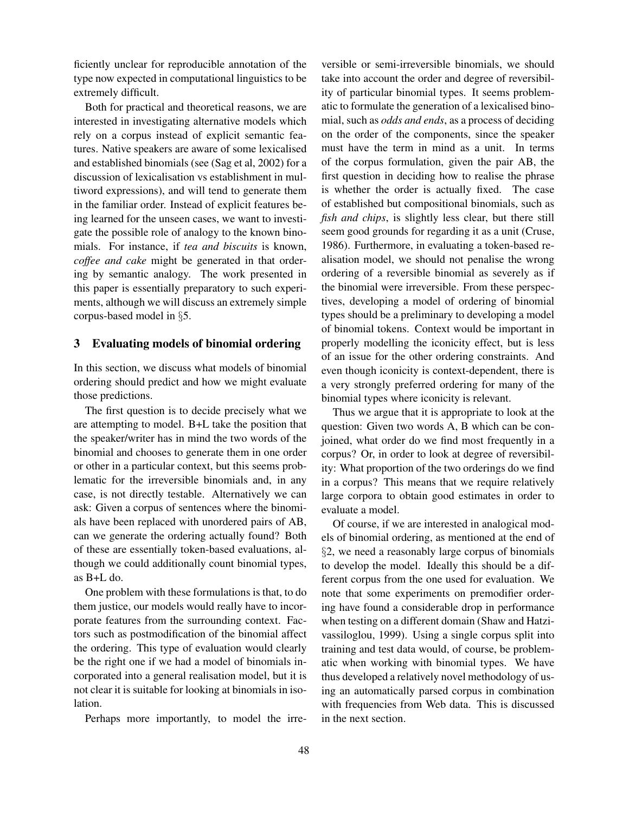ficiently unclear for reproducible annotation of the type now expected in computational linguistics to be extremely difficult.

Both for practical and theoretical reasons, we are interested in investigating alternative models which rely on a corpus instead of explicit semantic features. Native speakers are aware of some lexicalised and established binomials (see (Sag et al, 2002) for a discussion of lexicalisation vs establishment in multiword expressions), and will tend to generate them in the familiar order. Instead of explicit features being learned for the unseen cases, we want to investigate the possible role of analogy to the known binomials. For instance, if *tea and biscuits* is known, *coffee and cake* might be generated in that ordering by semantic analogy. The work presented in this paper is essentially preparatory to such experiments, although we will discuss an extremely simple corpus-based model in §5.

#### 3 Evaluating models of binomial ordering

In this section, we discuss what models of binomial ordering should predict and how we might evaluate those predictions.

The first question is to decide precisely what we are attempting to model. B+L take the position that the speaker/writer has in mind the two words of the binomial and chooses to generate them in one order or other in a particular context, but this seems problematic for the irreversible binomials and, in any case, is not directly testable. Alternatively we can ask: Given a corpus of sentences where the binomials have been replaced with unordered pairs of AB, can we generate the ordering actually found? Both of these are essentially token-based evaluations, although we could additionally count binomial types, as B+L do.

One problem with these formulations is that, to do them justice, our models would really have to incorporate features from the surrounding context. Factors such as postmodification of the binomial affect the ordering. This type of evaluation would clearly be the right one if we had a model of binomials incorporated into a general realisation model, but it is not clear it is suitable for looking at binomials in isolation.

Perhaps more importantly, to model the irre-

versible or semi-irreversible binomials, we should take into account the order and degree of reversibility of particular binomial types. It seems problematic to formulate the generation of a lexicalised binomial, such as *odds and ends*, as a process of deciding on the order of the components, since the speaker must have the term in mind as a unit. In terms of the corpus formulation, given the pair AB, the first question in deciding how to realise the phrase is whether the order is actually fixed. The case of established but compositional binomials, such as *fish and chips*, is slightly less clear, but there still seem good grounds for regarding it as a unit (Cruse, 1986). Furthermore, in evaluating a token-based realisation model, we should not penalise the wrong ordering of a reversible binomial as severely as if the binomial were irreversible. From these perspectives, developing a model of ordering of binomial types should be a preliminary to developing a model of binomial tokens. Context would be important in properly modelling the iconicity effect, but is less of an issue for the other ordering constraints. And even though iconicity is context-dependent, there is a very strongly preferred ordering for many of the binomial types where iconicity is relevant.

Thus we argue that it is appropriate to look at the question: Given two words A, B which can be conjoined, what order do we find most frequently in a corpus? Or, in order to look at degree of reversibility: What proportion of the two orderings do we find in a corpus? This means that we require relatively large corpora to obtain good estimates in order to evaluate a model.

Of course, if we are interested in analogical models of binomial ordering, as mentioned at the end of §2, we need a reasonably large corpus of binomials to develop the model. Ideally this should be a different corpus from the one used for evaluation. We note that some experiments on premodifier ordering have found a considerable drop in performance when testing on a different domain (Shaw and Hatzivassiloglou, 1999). Using a single corpus split into training and test data would, of course, be problematic when working with binomial types. We have thus developed a relatively novel methodology of using an automatically parsed corpus in combination with frequencies from Web data. This is discussed in the next section.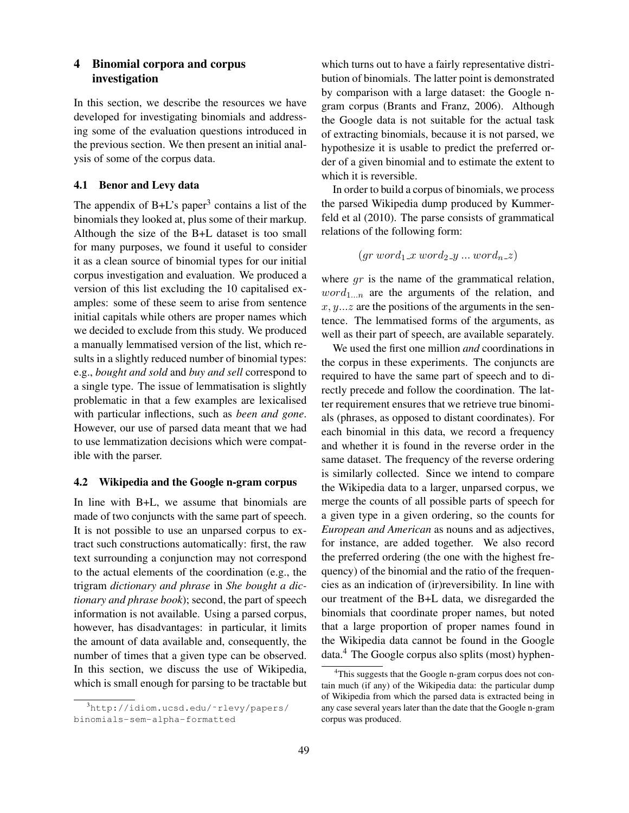# 4 Binomial corpora and corpus investigation

In this section, we describe the resources we have developed for investigating binomials and addressing some of the evaluation questions introduced in the previous section. We then present an initial analysis of some of the corpus data.

### 4.1 Benor and Levy data

The appendix of  $B+L$ 's paper<sup>3</sup> contains a list of the binomials they looked at, plus some of their markup. Although the size of the B+L dataset is too small for many purposes, we found it useful to consider it as a clean source of binomial types for our initial corpus investigation and evaluation. We produced a version of this list excluding the 10 capitalised examples: some of these seem to arise from sentence initial capitals while others are proper names which we decided to exclude from this study. We produced a manually lemmatised version of the list, which results in a slightly reduced number of binomial types: e.g., *bought and sold* and *buy and sell* correspond to a single type. The issue of lemmatisation is slightly problematic in that a few examples are lexicalised with particular inflections, such as *been and gone*. However, our use of parsed data meant that we had to use lemmatization decisions which were compatible with the parser.

#### 4.2 Wikipedia and the Google n-gram corpus

In line with B+L, we assume that binomials are made of two conjuncts with the same part of speech. It is not possible to use an unparsed corpus to extract such constructions automatically: first, the raw text surrounding a conjunction may not correspond to the actual elements of the coordination (e.g., the trigram *dictionary and phrase* in *She bought a dictionary and phrase book*); second, the part of speech information is not available. Using a parsed corpus, however, has disadvantages: in particular, it limits the amount of data available and, consequently, the number of times that a given type can be observed. In this section, we discuss the use of Wikipedia, which is small enough for parsing to be tractable but which turns out to have a fairly representative distribution of binomials. The latter point is demonstrated by comparison with a large dataset: the Google ngram corpus (Brants and Franz, 2006). Although the Google data is not suitable for the actual task of extracting binomials, because it is not parsed, we hypothesize it is usable to predict the preferred order of a given binomial and to estimate the extent to which it is reversible.

In order to build a corpus of binomials, we process the parsed Wikipedia dump produced by Kummerfeld et al (2010). The parse consists of grammatical relations of the following form:

$$
(gr\ word_1\_x\ word_2\_y\ ...\ word_n\_z)
$$

where  $gr$  is the name of the grammatical relation,  $word_{1...n}$  are the arguments of the relation, and  $x, y, \ldots z$  are the positions of the arguments in the sentence. The lemmatised forms of the arguments, as well as their part of speech, are available separately.

We used the first one million *and* coordinations in the corpus in these experiments. The conjuncts are required to have the same part of speech and to directly precede and follow the coordination. The latter requirement ensures that we retrieve true binomials (phrases, as opposed to distant coordinates). For each binomial in this data, we record a frequency and whether it is found in the reverse order in the same dataset. The frequency of the reverse ordering is similarly collected. Since we intend to compare the Wikipedia data to a larger, unparsed corpus, we merge the counts of all possible parts of speech for a given type in a given ordering, so the counts for *European and American* as nouns and as adjectives, for instance, are added together. We also record the preferred ordering (the one with the highest frequency) of the binomial and the ratio of the frequencies as an indication of (ir)reversibility. In line with our treatment of the B+L data, we disregarded the binomials that coordinate proper names, but noted that a large proportion of proper names found in the Wikipedia data cannot be found in the Google data.<sup>4</sup> The Google corpus also splits (most) hyphen-

<sup>3</sup>http://idiom.ucsd.edu/˜rlevy/papers/ binomials-sem-alpha-formatted

<sup>4</sup>This suggests that the Google n-gram corpus does not contain much (if any) of the Wikipedia data: the particular dump of Wikipedia from which the parsed data is extracted being in any case several years later than the date that the Google n-gram corpus was produced.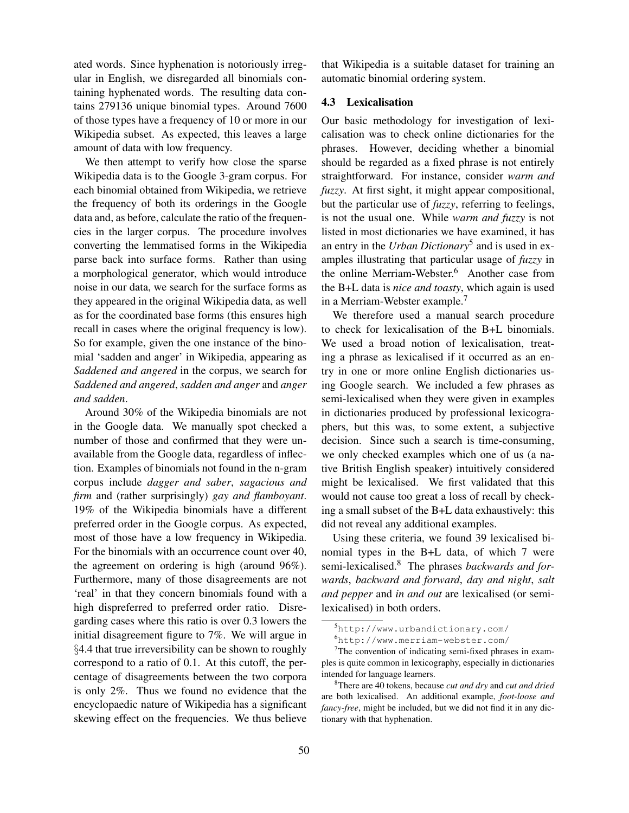ated words. Since hyphenation is notoriously irregular in English, we disregarded all binomials containing hyphenated words. The resulting data contains 279136 unique binomial types. Around 7600 of those types have a frequency of 10 or more in our Wikipedia subset. As expected, this leaves a large amount of data with low frequency.

We then attempt to verify how close the sparse Wikipedia data is to the Google 3-gram corpus. For each binomial obtained from Wikipedia, we retrieve the frequency of both its orderings in the Google data and, as before, calculate the ratio of the frequencies in the larger corpus. The procedure involves converting the lemmatised forms in the Wikipedia parse back into surface forms. Rather than using a morphological generator, which would introduce noise in our data, we search for the surface forms as they appeared in the original Wikipedia data, as well as for the coordinated base forms (this ensures high recall in cases where the original frequency is low). So for example, given the one instance of the binomial 'sadden and anger' in Wikipedia, appearing as *Saddened and angered* in the corpus, we search for *Saddened and angered*, *sadden and anger* and *anger and sadden*.

Around 30% of the Wikipedia binomials are not in the Google data. We manually spot checked a number of those and confirmed that they were unavailable from the Google data, regardless of inflection. Examples of binomials not found in the n-gram corpus include *dagger and saber*, *sagacious and firm* and (rather surprisingly) *gay and flamboyant*. 19% of the Wikipedia binomials have a different preferred order in the Google corpus. As expected, most of those have a low frequency in Wikipedia. For the binomials with an occurrence count over 40, the agreement on ordering is high (around 96%). Furthermore, many of those disagreements are not 'real' in that they concern binomials found with a high dispreferred to preferred order ratio. Disregarding cases where this ratio is over 0.3 lowers the initial disagreement figure to 7%. We will argue in §4.4 that true irreversibility can be shown to roughly correspond to a ratio of 0.1. At this cutoff, the percentage of disagreements between the two corpora is only 2%. Thus we found no evidence that the encyclopaedic nature of Wikipedia has a significant skewing effect on the frequencies. We thus believe that Wikipedia is a suitable dataset for training an automatic binomial ordering system.

### 4.3 Lexicalisation

Our basic methodology for investigation of lexicalisation was to check online dictionaries for the phrases. However, deciding whether a binomial should be regarded as a fixed phrase is not entirely straightforward. For instance, consider *warm and fuzzy*. At first sight, it might appear compositional, but the particular use of *fuzzy*, referring to feelings, is not the usual one. While *warm and fuzzy* is not listed in most dictionaries we have examined, it has an entry in the *Urban Dictionary*<sup>5</sup> and is used in examples illustrating that particular usage of *fuzzy* in the online Merriam-Webster.<sup>6</sup> Another case from the B+L data is *nice and toasty*, which again is used in a Merriam-Webster example.<sup>7</sup>

We therefore used a manual search procedure to check for lexicalisation of the B+L binomials. We used a broad notion of lexicalisation, treating a phrase as lexicalised if it occurred as an entry in one or more online English dictionaries using Google search. We included a few phrases as semi-lexicalised when they were given in examples in dictionaries produced by professional lexicographers, but this was, to some extent, a subjective decision. Since such a search is time-consuming, we only checked examples which one of us (a native British English speaker) intuitively considered might be lexicalised. We first validated that this would not cause too great a loss of recall by checking a small subset of the B+L data exhaustively: this did not reveal any additional examples.

Using these criteria, we found 39 lexicalised binomial types in the B+L data, of which 7 were semi-lexicalised.<sup>8</sup> The phrases *backwards and forwards*, *backward and forward*, *day and night*, *salt and pepper* and *in and out* are lexicalised (or semilexicalised) in both orders.

<sup>5</sup>http://www.urbandictionary.com/

<sup>6</sup>http://www.merriam-webster.com/

<sup>&</sup>lt;sup>7</sup>The convention of indicating semi-fixed phrases in examples is quite common in lexicography, especially in dictionaries intended for language learners.

<sup>8</sup>There are 40 tokens, because *cut and dry* and *cut and dried* are both lexicalised. An additional example, *foot-loose and fancy-free*, might be included, but we did not find it in any dictionary with that hyphenation.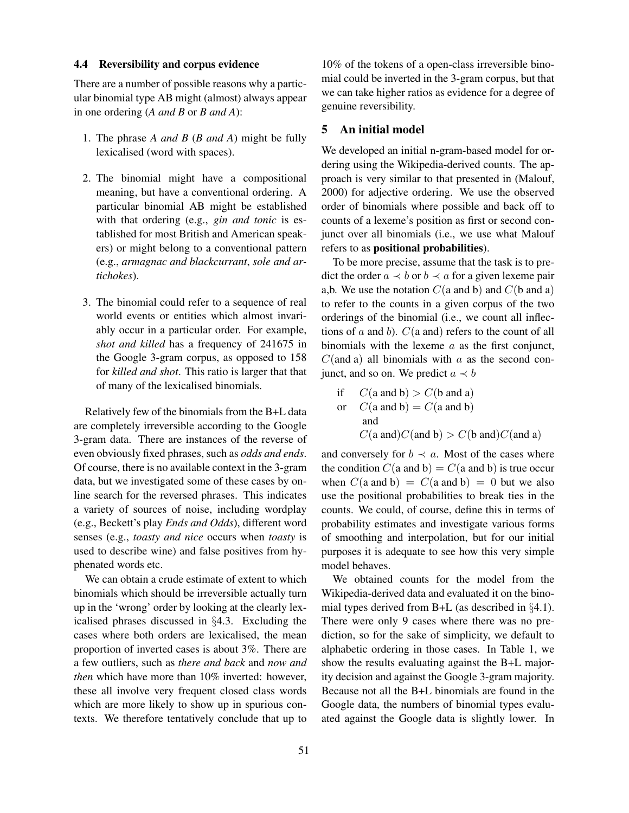#### 4.4 Reversibility and corpus evidence

There are a number of possible reasons why a particular binomial type AB might (almost) always appear in one ordering (*A and B* or *B and A*):

- 1. The phrase *A and B* (*B and A*) might be fully lexicalised (word with spaces).
- 2. The binomial might have a compositional meaning, but have a conventional ordering. A particular binomial AB might be established with that ordering (e.g., *gin and tonic* is established for most British and American speakers) or might belong to a conventional pattern (e.g., *armagnac and blackcurrant*, *sole and artichokes*).
- 3. The binomial could refer to a sequence of real world events or entities which almost invariably occur in a particular order. For example, *shot and killed* has a frequency of 241675 in the Google 3-gram corpus, as opposed to 158 for *killed and shot*. This ratio is larger that that of many of the lexicalised binomials.

Relatively few of the binomials from the B+L data are completely irreversible according to the Google 3-gram data. There are instances of the reverse of even obviously fixed phrases, such as *odds and ends*. Of course, there is no available context in the 3-gram data, but we investigated some of these cases by online search for the reversed phrases. This indicates a variety of sources of noise, including wordplay (e.g., Beckett's play *Ends and Odds*), different word senses (e.g., *toasty and nice* occurs when *toasty* is used to describe wine) and false positives from hyphenated words etc.

We can obtain a crude estimate of extent to which binomials which should be irreversible actually turn up in the 'wrong' order by looking at the clearly lexicalised phrases discussed in §4.3. Excluding the cases where both orders are lexicalised, the mean proportion of inverted cases is about 3%. There are a few outliers, such as *there and back* and *now and then* which have more than 10% inverted: however, these all involve very frequent closed class words which are more likely to show up in spurious contexts. We therefore tentatively conclude that up to

10% of the tokens of a open-class irreversible binomial could be inverted in the 3-gram corpus, but that we can take higher ratios as evidence for a degree of genuine reversibility.

#### 5 An initial model

We developed an initial n-gram-based model for ordering using the Wikipedia-derived counts. The approach is very similar to that presented in (Malouf, 2000) for adjective ordering. We use the observed order of binomials where possible and back off to counts of a lexeme's position as first or second conjunct over all binomials (i.e., we use what Malouf refers to as positional probabilities).

To be more precise, assume that the task is to predict the order  $a \prec b$  or  $b \prec a$  for a given lexeme pair a,b. We use the notation  $C(a \text{ and } b)$  and  $C(b \text{ and } a)$ to refer to the counts in a given corpus of the two orderings of the binomial (i.e., we count all inflections of  $a$  and  $b$ ).  $C(a$  and) refers to the count of all binomials with the lexeme  $a$  as the first conjunct,  $C$ (and a) all binomials with a as the second conjunct, and so on. We predict  $a \prec b$ 

if 
$$
C(\text{a and b}) > C(\text{b and a})
$$
  
or  $C(\text{a and b}) = C(\text{a and b})$   
and  
 $C(\text{a and})C(\text{and b}) > C(\text{b and})C(\text{and a})$ 

and conversely for  $b \prec a$ . Most of the cases where the condition  $C(a \text{ and } b) = C(a \text{ and } b)$  is true occur when  $C(a \text{ and } b) = C(a \text{ and } b) = 0$  but we also use the positional probabilities to break ties in the counts. We could, of course, define this in terms of probability estimates and investigate various forms of smoothing and interpolation, but for our initial purposes it is adequate to see how this very simple model behaves.

We obtained counts for the model from the Wikipedia-derived data and evaluated it on the binomial types derived from B+L (as described in §4.1). There were only 9 cases where there was no prediction, so for the sake of simplicity, we default to alphabetic ordering in those cases. In Table 1, we show the results evaluating against the B+L majority decision and against the Google 3-gram majority. Because not all the B+L binomials are found in the Google data, the numbers of binomial types evaluated against the Google data is slightly lower. In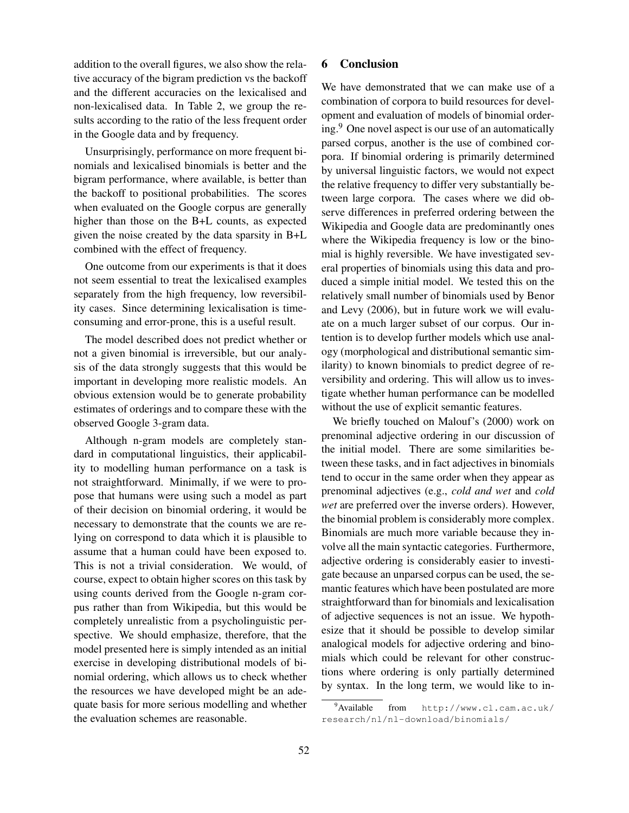addition to the overall figures, we also show the relative accuracy of the bigram prediction vs the backoff and the different accuracies on the lexicalised and non-lexicalised data. In Table 2, we group the results according to the ratio of the less frequent order in the Google data and by frequency.

Unsurprisingly, performance on more frequent binomials and lexicalised binomials is better and the bigram performance, where available, is better than the backoff to positional probabilities. The scores when evaluated on the Google corpus are generally higher than those on the B+L counts, as expected given the noise created by the data sparsity in B+L combined with the effect of frequency.

One outcome from our experiments is that it does not seem essential to treat the lexicalised examples separately from the high frequency, low reversibility cases. Since determining lexicalisation is timeconsuming and error-prone, this is a useful result.

The model described does not predict whether or not a given binomial is irreversible, but our analysis of the data strongly suggests that this would be important in developing more realistic models. An obvious extension would be to generate probability estimates of orderings and to compare these with the observed Google 3-gram data.

Although n-gram models are completely standard in computational linguistics, their applicability to modelling human performance on a task is not straightforward. Minimally, if we were to propose that humans were using such a model as part of their decision on binomial ordering, it would be necessary to demonstrate that the counts we are relying on correspond to data which it is plausible to assume that a human could have been exposed to. This is not a trivial consideration. We would, of course, expect to obtain higher scores on this task by using counts derived from the Google n-gram corpus rather than from Wikipedia, but this would be completely unrealistic from a psycholinguistic perspective. We should emphasize, therefore, that the model presented here is simply intended as an initial exercise in developing distributional models of binomial ordering, which allows us to check whether the resources we have developed might be an adequate basis for more serious modelling and whether the evaluation schemes are reasonable.

### 6 Conclusion

We have demonstrated that we can make use of a combination of corpora to build resources for development and evaluation of models of binomial ordering.<sup>9</sup> One novel aspect is our use of an automatically parsed corpus, another is the use of combined corpora. If binomial ordering is primarily determined by universal linguistic factors, we would not expect the relative frequency to differ very substantially between large corpora. The cases where we did observe differences in preferred ordering between the Wikipedia and Google data are predominantly ones where the Wikipedia frequency is low or the binomial is highly reversible. We have investigated several properties of binomials using this data and produced a simple initial model. We tested this on the relatively small number of binomials used by Benor and Levy (2006), but in future work we will evaluate on a much larger subset of our corpus. Our intention is to develop further models which use analogy (morphological and distributional semantic similarity) to known binomials to predict degree of reversibility and ordering. This will allow us to investigate whether human performance can be modelled without the use of explicit semantic features.

We briefly touched on Malouf's (2000) work on prenominal adjective ordering in our discussion of the initial model. There are some similarities between these tasks, and in fact adjectives in binomials tend to occur in the same order when they appear as prenominal adjectives (e.g., *cold and wet* and *cold wet* are preferred over the inverse orders). However, the binomial problem is considerably more complex. Binomials are much more variable because they involve all the main syntactic categories. Furthermore, adjective ordering is considerably easier to investigate because an unparsed corpus can be used, the semantic features which have been postulated are more straightforward than for binomials and lexicalisation of adjective sequences is not an issue. We hypothesize that it should be possible to develop similar analogical models for adjective ordering and binomials which could be relevant for other constructions where ordering is only partially determined by syntax. In the long term, we would like to in-

<sup>9</sup>Available from http://www.cl.cam.ac.uk/ research/nl/nl-download/binomials/